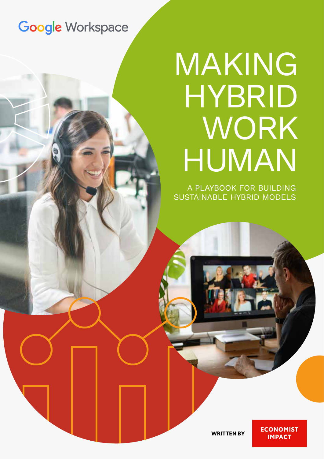# **Google Workspace**

# MAKING HYBRID WORK HUMAN

A PLAYBOOK FOR BUILDING SUSTAINABLE HYBRID MODELS

**WRITTEN BY**

**ECONOMIST IMPACT**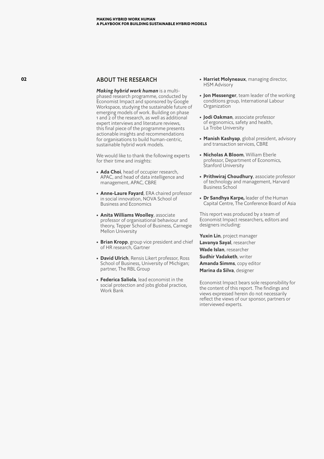#### ABOUT THE RESEARCH

*Making hybrid work human* is a multiphased research programme, conducted by Economist Impact and sponsored by Google Workspace, studying the sustainable future of emerging models of work. Building on phase 1 and 2 of the research, as well as additional expert interviews and literature reviews, this final piece of the programme presents actionable insights and recommendations for organisations to build human-centric, sustainable hybrid work models.

We would like to thank the following experts for their time and insights:

- **Ada Choi**, head of occupier research, APAC, and head of data intelligence and management, APAC, CBRE
- **Anne-Laure Fayard**, ERA chaired professor in social innovation, NOVA School of Business and Economics
- **Anita Williams Woolley**, associate professor of organisational behaviour and theory, Tepper School of Business, Carnegie Mellon University
- **Brian Kropp**, group vice president and chief of HR research, Gartner
- **David Ulrich**, Rensis Likert professor, Ross School of Business, University of Michigan; partner, The RBL Group
- **Federica Saliola**, lead economist in the social protection and jobs global practice, Work Bank
- **Harriet Molyneaux**, managing director, HSM Advisory
- **Jon Messenger**, team leader of the working conditions group, International Labour Organization
- **Jodi Oakman**, associate professor of ergonomics, safety and health, La Trobe University
- **Manish Kashyap**, global president, advisory and transaction services, CBRE
- **Nicholas A Bloom**, William Eberle professor, Department of Economics, Stanford University
- **Prithwiraj Choudhury**, associate professor of technology and management, Harvard Business School
- **Dr Sandhya Karpe,** leader of the Human Capital Centre, The Conference Board of Asia

This report was produced by a team of Economist Impact researchers, editors and designers including:

**Yuxin Lin**, project manager **Lavanya Sayal**, researcher **Wade Islan**, researcher **Sudhir Vadaketh**, writer **Amanda Simms**, copy editor **Marina da Silva**, designer

Economist Impact bears sole responsibility for the content of this report. The findings and views expressed herein do not necessarily reflect the views of our sponsor, partners or interviewed experts.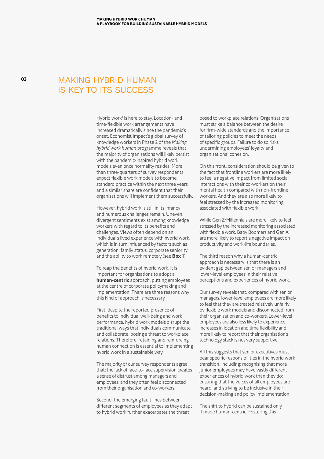### MAKING HYBRID HUMAN IS KEY TO ITS SUCCESS

Hybrid work<sup>1</sup> is here to stay. Location- and time-flexible work arrangements have increased dramatically since the pandemic's onset. Economist Impact's global survey of knowledge workers in Phase 2 of the *Making hybrid work human* programme reveals that the majority of organisations will likely persist with the pandemic-inspired hybrid work models even once normality resides. More than three-quarters of survey respondents expect flexible work models to become standard practice within the next three years and a similar share are confident that their organisations will implement them successfully.

However, hybrid work is still in its infancy and numerous challenges remain. Uneven, divergent sentiments exist among knowledge workers with regard to its benefits and challenges. Views often depend on an individual's lived experience with hybrid work, which is in turn influenced by factors such as generation, family status, corporate seniority and the ability to work remotely (see **Box 1**).

To reap the benefits of hybrid work, it is important for organisations to adopt a **human-centric** approach, putting employees at the centre of corporate policymaking and implementation. There are three reasons why this kind of approach is necessary.

First, despite the reported presence of benefits to individual well-being and work performance, hybrid work models disrupt the traditional ways that individuals communicate and collaborate, posing a threat to workplace relations. Therefore, retaining and reinforcing human connection is essential to implementing hybrid work in a sustainable way.

The majority of our survey respondents agree that: the lack of face-to-face supervision creates a sense of distrust among managers and employees; and they often feel disconnected from their organisation and co-workers.

Second, the emerging fault lines between different segments of employees as they adapt to hybrid work further exacerbates the threat

posed to workplace relations. Organisations must strike a balance between the desire for firm-wide standards and the importance of tailoring policies to meet the needs of specific groups. Failure to do so risks undermining employees' loyalty and organisational cohesion.

On this front, consideration should be given to the fact that frontline workers are more likely to feel a negative impact from limited social interactions with their co-workers on their mental health compared with non-frontline workers. And they are also more likely to feel stressed by the increased monitoring associated with flexible work.

While Gen Z/Millennials are more likely to feel stressed by the increased monitoring associated with flexible work, Baby Boomers and Gen X are more likely to report a negative impact on productivity and work-life boundaries.

The third reason why a human-centric approach is necessary is that there is an evident gap between senior managers and lower-level employees in their relative perceptions and experiences of hybrid work.

Our survey reveals that, compared with senior managers, lower-level employees are more likely to feel that they are treated relatively unfairly by flexible work models and disconnected from their organisation and co-workers. Lower-level employees are also less likely to experience increases in location and time flexibility and more likely to report that their organisation's technology stack is not very supportive.

All this suggests that senior executives must bear specific responsibilities in the hybrid work transition, including: recognising that more junior employees may have vastly different experiences of hybrid work than they do; ensuring that the voices of all employees are heard; and striving to be inclusive in their decision-making and policy implementation.

The shift to hybrid can be sustained only if made human-centric. Fostering this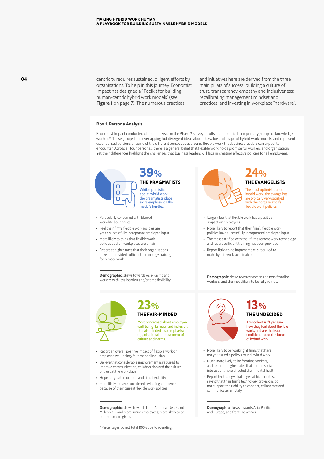centricity requires sustained, diligent efforts by organisations. To help in this journey, Economist Impact has designed a "Toolkit for building human-centric hybrid work models" (see Figure 1 on page 7). The numerous practices

and initiatives here are derived from the three main pillars of success: building a culture of trust, transparency, empathy and inclusiveness; recalibrating management mindset and practices; and investing in workplace "hardware".

#### **Box 1. Persona Analysis**

Economist Impact conducted cluster analysis on the Phase 2 survey results and identified four primary groups of knowledge workers\*. These groups hold overlapping but divergent ideas about the value and shape of hybrid work models, and represent essentialised versions of some of the different perspectives around flexible work that business leaders can expect to encounter. Across all four personas, there is a general belief that flexible work holds promise for workers and organisations. Yet their differences highlight the challenges that business leaders will face in creating effective policies for all employees.



While optimistic about hybrid work, the pragmatists place extra emphasis on this model's hurdles.

- Particularly concerned with blurred work-life boundaries
- Feel their firm's flexible work policies are yet to successfully incorporate employee input
- More likely to think that flexible work policies at their workplaces are unfair
- Report at higher rates that their organisations have not provided sufficient technology training for remote work

**Demographic:** skews towards Asia-Pacific and workers with less location and/or time flexibility



Most concerned about employee well-being, fairness and inclusion. the fair-minded also emphasise organisational improvement of culture and norms.

- Report an overall positive impact of flexible work on employee well-being, fairness and inclusion
- Believe that considerable improvement is required to improve communication, collaboration and the culture of trust at the workplace
- Hope for greater location and time flexibility
- More likely to have considered switching employers because of their current flexible work policies

**Demographic:** skews towards Latin America, Gen Z and Millennials, and more junior employees; more likely to be parents or caregivers

\*Percentages do not total 100% due to rounding.



The most optimistic about hybrid work, the evangelists are typically very satisfied with their organisation's flexible work policies

- Largely feel that flexible work has a positive impact on employees
- More likely to report that their firm's' flexible work policies have successfully incorporated employee input
- The most satisfied with their firm's remote work technology, and report sufficient training has been provided
- Report little-to-no improvement is required to make hybrid work sustainable

**Demographic:** skews towards women and non-frontline workers, and the most likely to be fully remote



# **THE FAIR-MINDED THE UNDECIDED**

This cohort isn't yet sure how they feel about flexible work, and are the least confident about the future of hybrid work.

- More likely to be working at firms that have not yet issued a policy around hybrid work
- Much more likely to be frontline workers, and report at higher rates that limited social interactions have affected their mental health
- Report technology challenges at higher rates, saying that their firm's technology provisions do not support their ability to connect, collaborate and communicate remotely

**Demographic:** skews towards Asia-Pacific and Europe, and frontline workers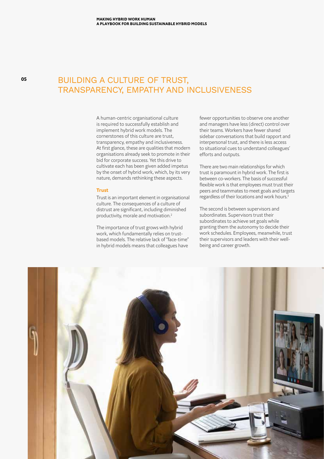**05**

## BUILDING A CULTURE OF TRUST, TRANSPARENCY, EMPATHY AND INCLUSIVENESS

A human-centric organisational culture is required to successfully establish and implement hybrid work models. The cornerstones of this culture are trust, transparency, empathy and inclusiveness. At first glance, these are qualities that modern organisations already seek to promote in their bid for corporate success. Yet this drive to cultivate each has been given added impetus by the onset of hybrid work, which, by its very nature, demands rethinking these aspects.

#### **Trust**

Trust is an important element in organisational culture. The consequences of a culture of distrust are significant, including diminished productivity, morale and motivation.2

The importance of trust grows with hybrid work, which fundamentally relies on trustbased models. The relative lack of "face-time" in hybrid models means that colleagues have

fewer opportunities to observe one another and managers have less (direct) control over their teams. Workers have fewer shared sidebar conversations that build rapport and interpersonal trust, and there is less access to situational cues to understand colleagues' efforts and outputs.

There are two main relationships for which trust is paramount in hybrid work. The first is between co-workers. The basis of successful flexible work is that employees must trust their peers and teammates to meet goals and targets regardless of their locations and work hours.3

The second is between supervisors and subordinates. Supervisors trust their subordinates to achieve set goals while granting them the autonomy to decide their work schedules. Employees, meanwhile, trust their supervisors and leaders with their wellbeing and career growth.

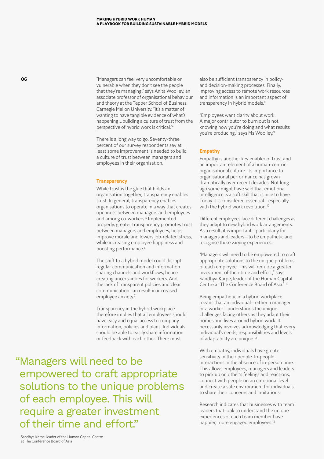"Managers can feel very uncomfortable or vulnerable when they don't see the people that they're managing," says Anita Woolley, an associate professor of organisational behaviour and theory at the Tepper School of Business, Carnegie Mellon University. "It's a matter of wanting to have tangible evidence of what's happening…building a culture of trust from the perspective of hybrid work is critical."4

There is a long way to go. Seventy-three percent of our survey respondents say at least some improvement is needed to build a culture of trust between managers and employees in their organisation.

#### **Transparency**

While trust is the glue that holds an organisation together, transparency enables trust. In general, transparency enables organisations to operate in a way that creates openness between managers and employees and among co-workers.<sup>5</sup> Implemented properly, greater transparency promotes trust between managers and employees, helps improve morale and lowers job-related stress, while increasing employee happiness and boosting performance.<sup>6</sup>

The shift to a hybrid model could disrupt regular communication and information sharing channels and workflows, hence creating uncertainties for workers. And the lack of transparent policies and clear communication can result in increased employee anxiety.<sup>7</sup>

Transparency in the hybrid workplace therefore implies that all employees should have easy and equal access to company information, policies and plans. Individuals should be able to easily share information or feedback with each other. There must

also be sufficient transparency in policyand decision-making processes. Finally, improving access to remote work resources and information is an important aspect of transparency in hybrid models.<sup>8</sup>

"Employees want clarity about work. A major contributor to burn out is not knowing how you're doing and what results you're producing," says Ms Woolley.9

#### **Empathy**

Empathy is another key enabler of trust and an important element of a human-centric organisational culture. Its importance to organisational performance has grown dramatically over recent decades. Not long ago some might have said that emotional intelligence is a soft skill that is nice to have. Today it is considered essential—especially with the hybrid work revolution.<sup>10</sup>

Different employees face different challenges as they adapt to new hybrid work arrangements. As a result, it is important—particularly for managers and leaders—to be empathetic and recognise these varying experiences.

"Managers will need to be empowered to craft appropriate solutions to the unique problems of each employee. This will require a greater investment of their time and effort," says Sandhya Karpe, leader of the Human Capital Centre at The Conference Board of Asia." 11

Being empathetic in a hybrid workplace means that an individual—either a manager or a worker—understands the unique challenges facing others as they adapt their homes and lives around hybrid work. It necessarily involves acknowledging that every individual's needs, responsibilities and levels of adaptability are unique.<sup>12</sup>

With empathy, individuals have greater sensitivity in their people-to-people interactions in the absence of in-person time. This allows employees, managers and leaders to pick up on other's feelings and reactions, connect with people on an emotional level and create a safe environment for individuals to share their concerns and limitations.

Research indicates that businesses with team leaders that look to understand the unique experiences of each team member have happier, more engaged employees.<sup>13</sup>

"Managers will need to be empowered to craft appropriate solutions to the unique problems of each employee. This will require a greater investment of their time and effort."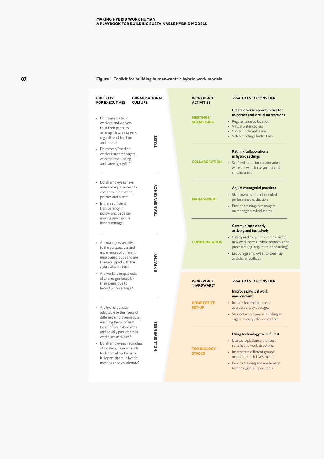#### **Figure 1. Toolkit for building human-centric hybrid work models**

| ORGANISATIONAL<br><b>CHECKLIST</b><br><b>FOR EXECUTIVES</b><br><b>CULTURE</b>                                                                                                                                            | <b>WORKPLACE</b><br><b>ACTIVITIES</b>  | <b>PRACTICES TO CONSIDER</b><br>Create diverse opportunities for                                                                                                                                                                        |
|--------------------------------------------------------------------------------------------------------------------------------------------------------------------------------------------------------------------------|----------------------------------------|-----------------------------------------------------------------------------------------------------------------------------------------------------------------------------------------------------------------------------------------|
| • Do managers trust<br>workers, and workers<br>trust their peers, to<br>accomplish work targets<br>regardless of location<br><b>TRUST</b><br>and hours?                                                                  | <b>MEETINGS/</b><br><b>SOCIALISING</b> | in-person and virtual interactions<br>• Regular team collocation<br>• Virtual water coolers<br>• Cross-functional teams<br>• Video meetings buffer time                                                                                 |
| • Do remote/frontline<br>workers trust managers<br>with their well-being<br>and career growth?                                                                                                                           | <b>COLLABORATION</b>                   | <b>Rethink collaborations</b><br>in hybrid settings<br>• Set fixed hours for collaboration<br>while allowing for asynchronous<br>collaboration                                                                                          |
| • Do all employees have<br>TRANSPARENCY<br>easy and equal access to<br>company information,<br>policies and plans?<br>• Is there sufficient<br>transparency in<br>policy- and decision-<br>making processes in           | <b>MANAGEMENT</b>                      | <b>Adjust managerial practices</b><br>• Shift towards impact-oriented<br>performance evaluation<br>• Provide training to managers<br>on managing hybrid teams                                                                           |
| hybrid settings?<br>• Are managers sensitive<br>to the perspectives and<br>experiences of different<br>EMPATHY<br>employee groups and are<br>they equipped with the<br>right skills/toolkits?                            | <b>COMMUNICATION</b>                   | Communicate clearly,<br>actively and inclusively<br>• Clearly and frequently communicate<br>new work norms, hybrid protocols and<br>processes (eg, regular re-onboarding)<br>• Encourage employees to speak up<br>and share feedback    |
| • Are workers empathetic<br>of challenges faced by<br>their peers due to<br>hybrid work settings?                                                                                                                        | <b>WORKPLACE</b><br>"HARDWARE"         | <b>PRACTICES TO CONSIDER</b><br>Improve physical work<br>environment                                                                                                                                                                    |
| • Are hybrid policies<br>adaptable to the needs of<br>different employee groups,<br>enabling them to fairly<br><b>TENESS</b><br>benefit from hybrid work                                                                 | <b>HOME OFFICE</b><br><b>SET-UP</b>    | · Include home office costs<br>as a part of pay packages<br>• Support employees in building an<br>ergonomically safe home office                                                                                                        |
| and equally participate in<br>workplace activities?<br>INCLUSIN<br>• Do all employees, regardless<br>of location, have access to<br>tools that allow them to<br>fully participate in hybrid<br>meetings and collaborate? | <b>TECHNOLOGY</b><br><b>STACKS</b>     | Using technology to its fullest<br>• Use tools/platforms that best<br>suits hybrid work structures<br>• Incorporate different groups'<br>needs into tech investments<br>• Provide training and on-demand<br>technological support tools |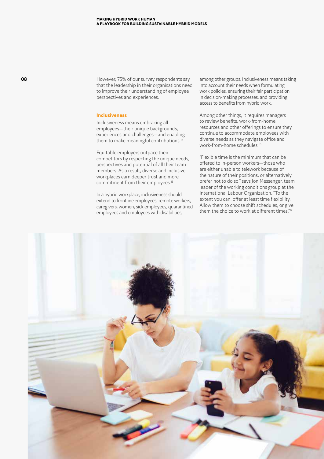However, 75% of our survey respondents say that the leadership in their organisations need to improve their understanding of employee perspectives and experiences.

#### **Inclusiveness**

Inclusiveness means embracing all employees—their unique backgrounds, experiences and challenges—and enabling them to make meaningful contributions.<sup>14</sup>

Equitable employers outpace their competitors by respecting the unique needs, perspectives and potential of all their team members. As a result, diverse and inclusive workplaces earn deeper trust and more commitment from their employees.15

In a hybrid workplace, inclusiveness should extend to frontline employees, remote workers, caregivers, women, sick employees, quarantined employees and employees with disabilities,

among other groups. Inclusiveness means taking into account their needs when formulating work policies, ensuring their fair participation in decision-making processes, and providing access to benefits from hybrid work.

Among other things, it requires managers to review benefits, work-from-home resources and other offerings to ensure they continue to accommodate employees with diverse needs as they navigate office and work-from-home schedules.16

"Flexible time is the minimum that can be offered to in-person workers—those who are either unable to telework because of the nature of their positions, or alternatively prefer not to do so," says Jon Messenger, team leader of the working conditions group at the International Labour Organization. "To the extent you can, offer at least time flexibility. Allow them to choose shift schedules, or give them the choice to work at different times."17

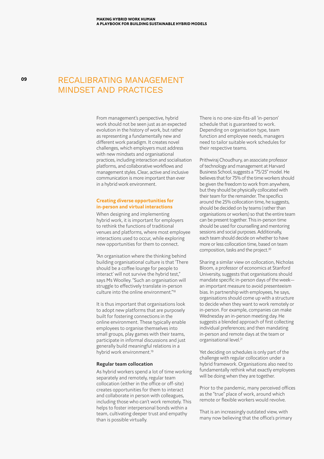## RECALIBRATING MANAGEMENT MINDSET AND PRACTICES

From management's perspective, hybrid work should not be seen just as an expected evolution in the history of work, but rather as representing a fundamentally new and different work paradigm. It creates novel challenges, which employers must address with new mindsets and organisational practices, including interaction and socialisation platforms, and collaborative workflows and management styles. Clear, active and inclusive communication is more important than ever in a hybrid work environment.

#### **Creating diverse opportunities for in-person and virtual interactions**

When designing and implementing hybrid work, it is important for employers to rethink the functions of traditional venues and platforms, where most employee interactions used to occur, while exploring new opportunities for them to connect.

"An organisation where the thinking behind building organisational culture is that 'There should be a coffee lounge for people to interact' will not survive the hybrid test," says Ms Woolley. "Such an organisation will struggle to effectively translate in-person culture into the online environment."18

It is thus important that organisations look to adopt new platforms that are purposely built for fostering connections in the online environment. These typically enable employees to organise themselves into small groups, play games with their teams, participate in informal discussions and just generally build meaningful relations in a hybrid work environment.19

#### **Regular team collocation**

As hybrid workers spend a lot of time working separately and remotely, regular team collocation (either in the office or off-site) creates opportunities for them to interact and collaborate in person with colleagues, including those who can't work remotely. This helps to foster interpersonal bonds within a team, cultivating deeper trust and empathy than is possible virtually.

There is no one-size-fits-all 'in-person' schedule that is guaranteed to work. Depending on organisation type, team function and employee needs, managers need to tailor suitable work schedules for their respective teams.

Prithwiraj Choudhury, an associate professor of technology and management at Harvard Business School, suggests a "75/25" model. He believes that for 75% of the time workers should be given the freedom to work from anywhere, but they should be physically collocated with their team for the remainder. The specifics around the 25% collocation time, he suggests, should be decided on by teams (rather than organisations or workers) so that the entire team can be present together. This in-person time should be used for counselling and mentoring sessions and social purposes. Additionally, each team should decide on whether to have more or less collocation time, based on team composition, tasks and the project.20

Sharing a similar view on collocation, Nicholas Bloom, a professor of economics at Stanford University, suggests that organisations should mandate specific in-person days of the week an important measure to avoid presenteeism bias. In partnership with employees, he says, organisations should come up with a structure to decide when they want to work remotely or in-person. For example, companies can make Wednesday an in-person meeting day. He suggests a blended approach of first collecting individual preferences; and then mandating in-person and remote days at the team or organisational level.<sup>21</sup>

Yet deciding on schedules is only part of the challenge with regular collocation under a hybrid framework. Organisations also need to fundamentally rethink what exactly employees will be doing when they are together.

Prior to the pandemic, many perceived offices as the "true" place of work, around which remote or flexible workers would revolve.

That is an increasingly outdated view, with many now believing that the office's primary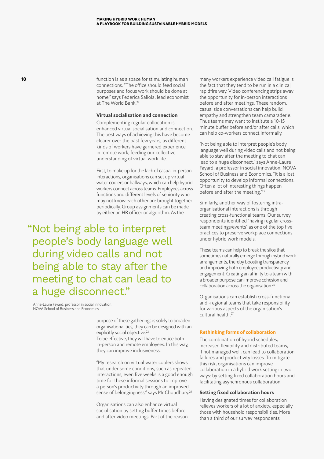**10 10 function is as a space for stimulating human** connections. "The office should feed social purposes and focus work should be done at home," says Federica Saliola, lead economist at The World Bank.22

#### **Virtual socialisation and connection**

Complementing regular collocation is enhanced virtual socialisation and connection. The best ways of achieving this have become clearer over the past few years, as different kinds of workers have garnered experience in remote work, feeding our collective understanding of virtual work life.

First, to make up for the lack of casual in-person interactions, organisations can set up virtual water coolers or hallways, which can help hybrid workers connect across teams. Employees across functions and different levels of seniority who may not know each other are brought together periodically. Group assignments can be made by either an HR officer or algorithm. As the

"Not being able to interpret people's body language well during video calls and not being able to stay after the meeting to chat can lead to a huge disconnect."

Anne-Laure Fayard, professor in social innovation, NOVA School of Business and Economics

> purpose of these gatherings is solely to broaden organisational ties, they can be designed with an explicitly social objective.<sup>23</sup> To be effective, they will have to entice both in-person and remote employees. In this way, they can improve inclusiveness.

"My research on virtual water coolers shows that under some conditions, such as repeated interactions, even five weeks is a good enough time for these informal sessions to improve a person's productivity through an improved sense of belongingness," says Mr Choudhury.<sup>24</sup>

Organisations can also enhance virtual socialisation by setting buffer times before and after video meetings. Part of the reason many workers experience video call fatigue is the fact that they tend to be run in a clinical, rapidfire way. Video conferencing strips away the opportunity for in-person interactions before and after meetings. These random, casual side conversations can help build empathy and strengthen team camaraderie. Thus teams may want to institute a 10-15 minute buffer before and/or after calls, which can help co-workers connect informally.

"Not being able to interpret people's body language well during video calls and not being able to stay after the meeting to chat can lead to a huge disconnect," says Anne-Laure Fayard, a professor in social innovation, NOVA School of Business and Economics. "It is a lost opportunity to develop informal connections. Often a lot of interesting things happen before and after the meeting."25

Similarly, another way of fostering intraorganisational interactions is through creating cross-functional teams. Our survey respondents identified "having regular crossteam meetings/events" as one of the top five practices to preserve workplace connections under hybrid work models.

These teams can help to break the silos that sometimes naturally emerge through hybrid work arrangements, thereby boosting transparency and improving both employee productivity and engagement. Creating an affinity to a team with a broader purpose can improve cohesion and collaboration across the organisation.26

Organisations can establish cross-functional and -regional teams that take responsibility for various aspects of the organisation's cultural health.<sup>27</sup>

#### **Rethinking forms of collaboration**

The combination of hybrid schedules, increased flexibility and distributed teams, if not managed well, can lead to collaboration failures and productivity losses. To mitigate this risk, organisations can improve collaboration in a hybrid work setting in two ways: by setting fixed collaboration hours and facilitating asynchronous collaboration.

#### **Setting fixed collaboration hours**

Having designated times for collaboration relieves workers of a lot of anxiety, especially those with household responsibilities. More than a third of our survey respondents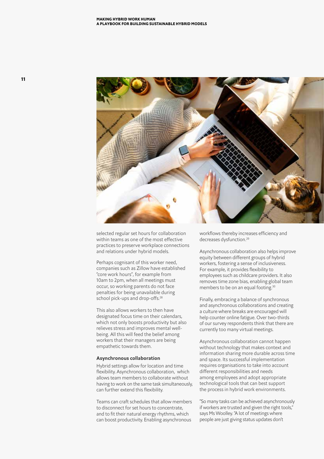

selected regular set hours for collaboration within teams as one of the most effective practices to preserve workplace connections and relations under hybrid models.

Perhaps cognisant of this worker need, companies such as Zillow have established "core work hours", for example from 10am to 2pm, when all meetings must occur, so working parents do not face penalties for being unavailable during school pick-ups and drop-offs.<sup>28</sup>

This also allows workers to then have designated focus time on their calendars, which not only boosts productivity but also relieves stress and improves mental wellbeing. All this will feed the belief among workers that their managers are being empathetic towards them.

#### **Asynchronous collaboration**

Hybrid settings allow for location and time flexibility. Asynchronous collaboration, which allows team members to collaborate without having to work on the same task simultaneously, can further extend this flexibility.

Teams can craft schedules that allow members to disconnect for set hours to concentrate, and to fit their natural energy rhythms, which can boost productivity. Enabling asynchronous

workflows thereby increases efficiency and decreases dysfunction.29

Asynchronous collaboration also helps improve equity between different groups of hybrid workers, fostering a sense of inclusiveness. For example, it provides flexibility to employees such as childcare providers. It also removes time zone bias, enabling global team members to be on an equal footing.<sup>30</sup>

Finally, embracing a balance of synchronous and asynchronous collaborations and creating a culture where breaks are encouraged will help counter online fatigue. Over two-thirds of our survey respondents think that there are currently too many virtual meetings.

Asynchronous collaboration cannot happen without technology that makes context and information sharing more durable across time and space. Its successful implementation requires organisations to take into account different responsibilities and needs among employees and adopt appropriate technological tools that can best support the process in hybrid work environments.

"So many tasks can be achieved asynchronously if workers are trusted and given the right tools," says Ms Woolley. "A lot of meetings where people are just giving status updates don't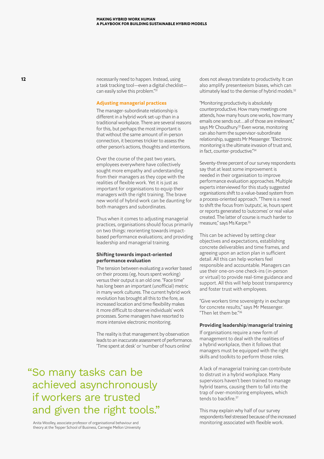**12 12 12 necessarily need to happen. Instead, using** a task tracking tool—even a digital checklist can easily solve this problem."<sup>31</sup>

#### **Adjusting managerial practices**

The manager-subordinate relationship is different in a hybrid work set-up than in a traditional workplace. There are several reasons for this, but perhaps the most important is that without the same amount of in-person connection, it becomes trickier to assess the other person's actions, thoughts and intentions.

Over the course of the past two years, employees everywhere have collectively sought more empathy and understanding from their managers as they cope with the realities of flexible work. Yet it is just as important for organisations to equip their managers with the right training. The brave new world of hybrid work can be daunting for both managers and subordinates.

Thus when it comes to adjusting managerial practices, organisations should focus primarily on two things: reorienting towards impactbased performance evaluations; and providing leadership and managerial training.

#### **Shifting towards impact-oriented performance evaluation**

The tension between evaluating a worker based on their process (eg, hours spent working) versus their output is an old one. "Face time" has long been an important (unofficial) metric in many work cultures. The current hybrid work revolution has brought all this to the fore, as increased location and time flexibility makes it more difficult to observe individuals' work processes. Some managers have resorted to more intensive electronic monitoring.

The reality is that management by observation leads to an inaccurate assessment of performance. 'Time spent at desk' or 'number of hours online'

"So many tasks can be achieved asynchronously if workers are trusted and given the right tools."

Anita Woolley, associate professor of organisational behaviour and theory at the Tepper School of Business, Carnegie Mellon University does not always translate to productivity. It can also amplify presenteeism biases, which can ultimately lead to the demise of hybrid models.<sup>32</sup>

"Monitoring productivity is absolutely counterproductive. How many meetings one attends, how many hours one works, how many emails one sends out...all of those are irrelevant," says Mr Choudhury.<sup>33</sup> Even worse, monitoring can also harm the supervisor-subordinate relationship, suggests Mr Messenger. "Electronic monitoring is the ultimate invasion of trust and, in fact, counter-productive."34

Seventy-three percent of our survey respondents say that at least some improvement is needed in their organisation to improve performance evaluation approaches. Multiple experts interviewed for this study suggested organisations shift to a value-based system from a process-oriented approach. "There is a need to shift the focus from 'outputs', ie, hours spent or reports generated to 'outcomes' or real value created. The latter of course is much harder to measure," says Ms Karpe.<sup>35</sup>

This can be achieved by setting clear objectives and expectations, establishing concrete deliverables and time frames, and agreeing upon an action plan in sufficient detail. All this can help workers feel responsible and accountable. Managers can use their one-on-one check-ins (in-person or virtual) to provide real-time guidance and support. All this will help boost transparency and foster trust with employees.

"Give workers time sovereignty in exchange for concrete results," says Mr Messenger. "Then let them be."36

#### **Providing leadership/managerial training**

If organisations require a new form of management to deal with the realities of a hybrid workplace, then it follows that managers must be equipped with the right skills and toolkits to perform those roles.

A lack of managerial training can contribute to distrust in a hybrid workplace. Many supervisors haven't been trained to manage hybrid teams, causing them to fall into the trap of over-monitoring employees, which tends to backfire.<sup>37</sup>

This may explain why half of our survey respondents feel stressed because of the increased monitoring associated with flexible work.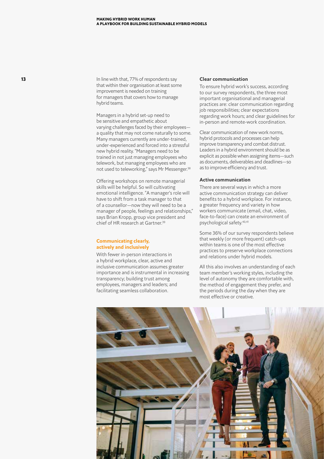**13** In line with that, 77% of respondents say that within their organisation at least some improvement is needed on training for managers that covers how to manage hybrid teams.

> Managers in a hybrid set-up need to be sensitive and empathetic about varying challenges faced by their employees a quality that may not come naturally to some. Many managers currently are under-trained, under-experienced and forced into a stressful new hybrid reality. "Managers need to be trained in not just managing employees who telework, but managing employees who are not used to teleworking," says Mr Messenger.38

Offering workshops on remote managerial skills will be helpful. So will cultivating emotional intelligence. "A manager's role will have to shift from a task manager to that of a counsellor—now they will need to be a manager of people, feelings and relationships," says Brian Kropp, group vice president and chief of HR research at Gartner.<sup>39</sup>

#### **Communicating clearly, actively and inclusively**

With fewer in-person interactions in a hybrid workplace, clear, active and inclusive communication assumes greater importance and is instrumental in increasing transparency; building trust among employees, managers and leaders; and facilitating seamless collaboration.

#### **Clear communication**

To ensure hybrid work's success, according to our survey respondents, the three most important organisational and managerial practices are: clear communication regarding job responsibilities; clear expectations regarding work hours; and clear guidelines for in-person and remote-work coordination.

Clear communication of new work norms, hybrid protocols and processes can help improve transparency and combat distrust. Leaders in a hybrid environment should be as explicit as possible when assigning items—such as documents, deliverables and deadlines—so as to improve efficiency and trust.

#### **Active communication**

There are several ways in which a more active communication strategy can deliver benefits to a hybrid workplace. For instance, a greater frequency and variety in how workers communicate (email, chat, video, face-to-face) can create an environment of psychological safety. 40,41

Some 36% of our survey respondents believe that weekly (or more frequent) catch-ups within teams is one of the most effective practices to preserve workplace connections and relations under hybrid models.

All this also involves an understanding of each team member's working styles, including the level of autonomy they are comfortable with, the method of engagement they prefer, and the periods during the day when they are most effective or creative.

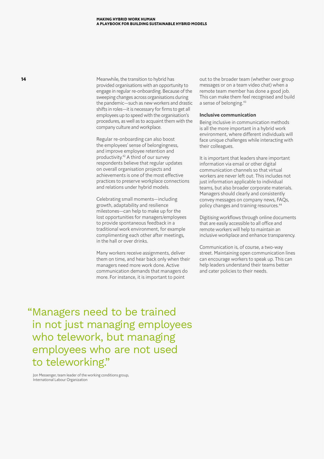**14** Meanwhile, the transition to hybrid has provided organisations with an opportunity to engage in regular re-onboarding. Because of the sweeping changes across organisations during the pandemic—such as new workers and drastic shifts in roles—it is necessary for firms to get all employees up to speed with the organisation's procedures, as well as to acquaint them with the company culture and workplace.

> Regular re-onboarding can also boost the employees' sense of belongingness, and improve employee retention and productivity.42 A third of our survey respondents believe that regular updates on overall organisation projects and achievements is one of the most effective practices to preserve workplace connections and relations under hybrid models.

Celebrating small moments—including growth, adaptability and resilience milestones—can help to make up for the lost opportunities for managers/employees to provide spontaneous feedback in a traditional work environment, for example complimenting each other after meetings, in the hall or over drinks.

Many workers receive assignments, deliver them on time, and hear back only when their managers need more work done. Active communication demands that managers do more. For instance, it is important to point

out to the broader team (whether over group messages or on a team video chat) when a remote team member has done a good job. This can make them feel recognised and build a sense of belonging.43

#### **Inclusive communication**

Being inclusive in communication methods is all the more important in a hybrid work environment, where different individuals will face unique challenges while interacting with their colleagues.

It is important that leaders share important information via email or other digital communication channels so that virtual workers are never left out. This includes not just information applicable to individual teams, but also broader corporate materials. Managers should clearly and consistently convey messages on company news, FAQs, policy changes and training resources.<sup>44</sup>

Digitising workflows through online documents that are easily accessible to all office and remote workers will help to maintain an inclusive workplace and enhance transparency.

Communication is, of course, a two-way street. Maintaining open communication lines can encourage workers to speak up. This can help leaders understand their teams better and cater policies to their needs.

"Managers need to be trained in not just managing employees who telework, but managing employees who are not used to teleworking."

Jon Messenger, team leader of the working conditions group, International Labour Organization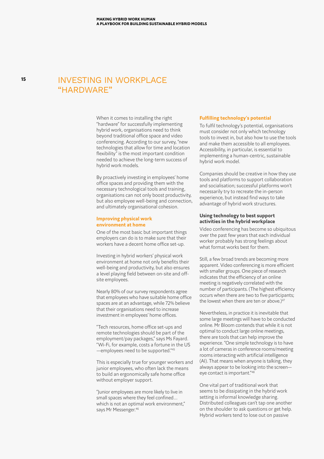### INVESTING IN WORKPLACE "HARDWARE"

When it comes to installing the right "hardware" for successfully implementing hybrid work, organisations need to think beyond traditional office space and video conferencing. According to our survey, "new technologies that allow for time and location flexibility" is the most important condition needed to achieve the long-term success of hybrid work models.

By proactively investing in employees' home office spaces and providing them with the necessary technological tools and training, organisations can not only boost productivity, but also employee well-being and connection, and ultimately organisational cohesion.

#### **Improving physical work environment at home**

One of the most basic but important things employers can do is to make sure that their workers have a decent home office set-up.

Investing in hybrid workers' physical work environment at home not only benefits their well-being and productivity, but also ensures a level playing field between on-site and offsite employees.

Nearly 80% of our survey respondents agree that employees who have suitable home office spaces are at an advantage, while 72% believe that their organisations need to increase investment in employees' home offices.

"Tech resources, home office set-ups and remote technologies should be part of the employment/pay packages," says Ms Fayard. "Wi-Fi, for example, costs a fortune in the US —employees need to be supported."45

This is especially true for younger workers and junior employees, who often lack the means to build an ergonomically safe home office without employer support.

"Junior employees are more likely to live in small spaces where they feel confined… which is not an optimal work environment," says Mr Messenger.<sup>46</sup>

#### **Fulfilling technology's potential**

To fulfil technology's potential, organisations must consider not only which technology tools to invest in, but also how to use the tools and make them accessible to all employees. Accessibility, in particular, is essential to implementing a human-centric, sustainable hybrid work model.

Companies should be creative in how they use tools and platforms to support collaboration and socialisation; successful platforms won't necessarily try to recreate the in-person experience, but instead find ways to take advantage of hybrid work structures.

#### **Using technology to best support activities in the hybrid workplace**

Video conferencing has become so ubiquitous over the past few years that each individual worker probably has strong feelings about what format works best for them.

Still, a few broad trends are becoming more apparent. Video conferencing is more efficient with smaller groups. One piece of research indicates that the efficiency of an online meeting is negatively correlated with the number of participants. (The highest efficiency occurs when there are two to five participants; the lowest when there are ten or above.)<sup>47</sup>

Nevertheless, in practice it is inevitable that some large meetings will have to be conducted online. Mr Bloom contends that while it is not optimal to conduct large online meetings, there are tools that can help improve the experience. "One simple technology is to have a lot of cameras in conference rooms/meeting rooms interacting with artificial intelligence (AI). That means when anyone is talking, they always appear to be looking into the screen eye contact is important."48

One vital part of traditional work that seems to be dissipating in the hybrid work setting is informal knowledge sharing. Distributed colleagues can't tap one another on the shoulder to ask questions or get help. Hybrid workers tend to lose out on passive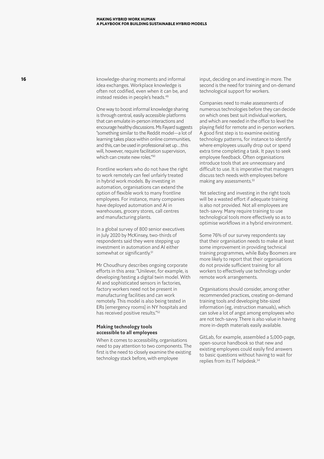**16 16 hadded a** knowledge-sharing moments and informal idea exchanges. Workplace knowledge is often not codified, even when it can be, and instead resides in people's heads.<sup>49</sup>

> One way to boost informal knowledge sharing is through central, easily accessible platforms that can emulate in-person interactions and encourage healthy discussions. Ms Fayard suggests "something similar to the Reddit model—a lot of learning takes place within online communities, and this, can be used in professional set up…this will, however, require facilitation supervision, which can create new roles."50

Frontline workers who do not have the right to work remotely can feel unfairly treated in hybrid work models. By investing in automation, organisations can extend the option of flexible work to many frontline employees. For instance, many companies have deployed automation and AI in warehouses, grocery stores, call centres and manufacturing plants.

In a global survey of 800 senior executives in July 2020 by McKinsey, two-thirds of respondents said they were stepping up investment in automation and AI either somewhat or significantly.<sup>51</sup>

Mr Choudhury describes ongoing corporate efforts in this area: "Unilever, for example, is developing/testing a digital twin model. With AI and sophisticated sensors in factories, factory workers need not be present in manufacturing facilities and can work remotely. This model is also being tested in ERs [emergency rooms] in NY hospitals and has received positive results."52

#### **Making technology tools accessible to all employees**

When it comes to accessibility, organisations need to pay attention to two components. The first is the need to closely examine the existing technology stack before, with employee

input, deciding on and investing in more. The second is the need for training and on-demand technological support for workers.

Companies need to make assessments of numerous technologies before they can decide on which ones best suit individual workers, and which are needed in the office to level the playing field for remote and in-person workers. A good first step is to examine existing technology patterns, for instance to identify where employees usually drop out or spend extra time completing a task. It pays to seek employee feedback. Often organisations introduce tools that are unnecessary and difficult to use. It is imperative that managers discuss tech needs with employees before making any assessments.53

Yet selecting and investing in the right tools will be a wasted effort if adequate training is also not provided. Not all employees are tech-savvy. Many require training to use technological tools more effectively so as to optimise workflows in a hybrid environment.

Some 76% of our survey respondents say that their organisation needs to make at least some improvement in providing technical training programmes, while Baby Boomers are more likely to report that their organisations do not provide sufficient training for all workers to effectively use technology under remote work arrangements.

Organisations should consider, among other recommended practices, creating on-demand training tools and developing bite-sized information (eg, instruction manuals), which can solve a lot of angst among employees who are not tech-savvy. There is also value in having more in-depth materials easily available.

GitLab, for example, assembled a 5,000-page, open-source handbook so that new and existing employees could easily find answers to basic questions without having to wait for replies from its IT helpdesk.<sup>54</sup>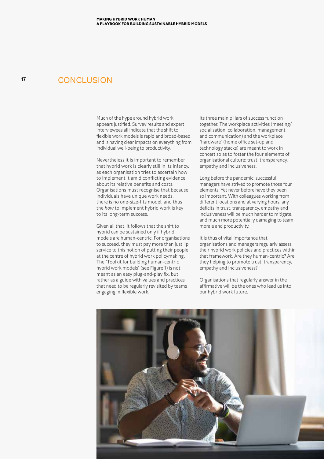#### **CONCLUSION**

**17**

Much of the hype around hybrid work appears justified. Survey results and expert interviewees all indicate that the shift to flexible work models is rapid and broad-based, and is having clear impacts on everything from individual well-being to productivity.

Nevertheless it is important to remember that hybrid work is clearly still in its infancy, as each organisation tries to ascertain how to implement it amid conflicting evidence about its relative benefits and costs. Organisations must recognise that because individuals have unique work needs, there is no one-size-fits model, and thus the *how* to implement hybrid work is key to its long-term success.

Given all that, it follows that the shift to hybrid can be sustained only if hybrid models are human-centric. For organisations to succeed, they must pay more than just lip service to this notion of putting their people at the centre of hybrid work policymaking. The "Toolkit for building human-centric hybrid work models" (see Figure 1) is not meant as an easy plug-and-play fix, but rather as a guide with values and practices that need to be regularly revisited by teams engaging in flexible work.

Its three main pillars of success function together. The workplace activities (meeting/ socialisation, collaboration, management and communication) and the workplace "hardware" (home office set-up and technology stacks) are meant to work in concert so as to foster the four elements of organisational culture: trust, transparency, empathy and inclusiveness.

Long before the pandemic, successful managers have strived to promote those four elements. Yet never before have they been so important. With colleagues working from different locations and at varying hours, any deficits in trust, transparency, empathy and inclusiveness will be much harder to mitigate, and much more potentially damaging to team morale and productivity.

It is thus of vital importance that organisations and managers regularly assess their hybrid work policies and practices within that framework. Are they human-centric? Are they helping to promote trust, transparency, empathy and inclusiveness?

Organisations that regularly answer in the affirmative will be the ones who lead us into our hybrid work future.

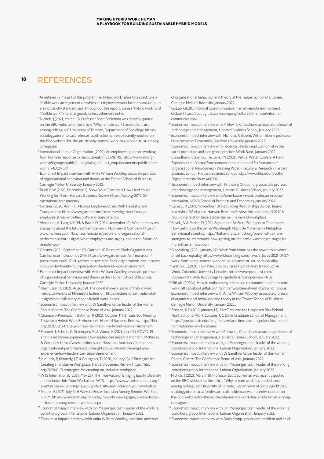#### **18** REFERENCES

- <sup>1</sup> As defined in Phase 1 of this programme, hybrid work refers to a spectrum of flexible work arrangements in which an employee's work location and/or hours are not strictly standardised. Throughout this report, we use "hybrid work" and "flexible work" interchangeably unless otherwise noted.
- <sup>2</sup> Nichols, J (2021, March 18). Professor Scott Schieman was recently quoted on the BBC website for the article "Why remote work has eroded trust among colleagues." University of Toronto, Department of Sociology. https:// sociology.utoronto.ca/professor-scott-schieman-was-recently-quoted-onthe-bbc-website-for-the-article-why-remote-work-has-eroded-trust-amongcolleagues/
- <sup>3</sup> International Labour Organization. (2020). An employers' guide on working from home in response to the outbreak of COVID-19. https://www.ilo.org/ wcmsp5/groups/public/---ed\_dialogue/---act\_emp/documents/publication/ wcms\_745024.pdf
- <sup>4</sup> Economist Impact interview with Anita William Woolley, associate professor of organisational behaviour and theory at the Tepper School of Business, Carnegie Mellon University, January 2022.
- <sup>5</sup> Buell, R W (2020, December 2). Show Your Customers How Hard You're Working for Them. Harvard Business Review. https://hbr.org/2019/03/ operational-transparency
- <sup>6</sup> Gartner. (2020, April 17). Manage Employee Stress With Flexibility and Transparency. https://www.gartner.com/smarterwithgartner/manageemployee-stress-with-flexibility-and-transparency/
- <sup>7</sup> Alexander, A, Langstaff, M, & Ravid, D (2021, November 19). What employees are saying about the future of remote work. McKinsey & Company. https:// www.mckinsey.com/business-functions/people-and-organizationalperformance/our-insights/what-employees-are-saying-about-the-future-ofremote-work
- <sup>8</sup> Gartner. (2021, September 17). Gartner HR Research Finds Organisations Can Increase Inclusion by 24%. https://www.gartner.com/en/newsroom/ press-releases/09-17-21-gartner-hr-research-finds-organizations-can-increaseinclusion-by-twenty-four-percent-in-the-hybrid-work-environment
- <sup>9</sup> Economist Impact interview with Anita William Woolley, associate professor of organisational behaviour and theory at the Tepper School of Business, Carnegie Mellon University, January 2022.
- <sup>10</sup> Rasmussen, C (2021, August 9). The one skill every leader of hybrid work needs. University of Minnesota Extension. https://extension.umn.edu/vitalinsights/one-skill-every-leader-hybrid-work-needs
- <sup>11</sup> Economist Impact interview with Dr Sandhya Karpe, leader of the Human Capital Centre, The Conference Board of Asia, January 2022.
- <sup>12</sup> Chamorro-Premuzic, T & Akhtar, R (2021, October 11). 3 Traits You Need to Thrive in a Hybrid Work Environment. Harvard Business Review. https://hbr. org/2021/08/3-traits-you-need-to-thrive-in-a-hybrid-work-environment
- <sup>13</sup> Emmett, J, Schrah, G, Schrimper, M, & Wood, A (2021, June 17). COVID-19 and the employee experience: How leaders can seize the moment. McKinsey & Company. https://www.mckinsey.com/business-functions/people-andorganizational-performance/our-insights/covid-19-and-the-employeeexperience-how-leaders-can-seize-the-moment
- <sup>14</sup> Jain-Link, P, Kennedy, J T, & Bourgeois, T (2020, January 13). 5 Strategies for Creating an Inclusive Workplace. Harvard Business Review. https://hbr. org/2020/01/5-strategies-for-creating-an-inclusive-workplace
- <sup>15</sup> WTS International. (2021, May 25). The True Value of Bringing Equity, Diversity, and Inclusion Into Your Workplace | WTS. https://www.wtsinternational.org/ events/true-value-bringing-equity-diversity-and-inclusion-your-workplace
- <sup>16</sup> Maurer, R (2021, July 6). 6 Ways to Foster Inclusion Among Remote Workers. SHRM. https://www.shrm.org/hr-today/news/hr-news/pages/6-ways-fosterinclusion-among-remote-workers.aspx
- <sup>17</sup> Economist Impact interview with Jon Messenger, team leader of the working conditions group, International Labour Organization, January 2022.
- <sup>18</sup> Economist Impact interview with Anita William Woolley, associate professor

of organisational behaviour and theory at the Tepper School of Business, Carnegie Mellon University, January 2022.

- <sup>19</sup> GitLab. (2020). Informal Communication in an all-remote environment. GitLab. https://about.gitlab.com/company/culture/all-remote/informalcommunication/
- <sup>20</sup> Economist Impact interview with Prithwiraj Choudhury, associate professor of technology and management, Harvard Business School, January 2022.
- <sup>21</sup> Economist Impact interview with Nicholas A Bloom, William Eberle professor, Department of Economics, Stanford University, January 2022.
- <sup>22</sup> Economist Impact interview with Federica Saliola, Lead Economist in the social protection and jobs global practice, Work Bank, January 2022.
- <sup>23</sup> Choudhury, P, Bojinov, I, & Lane, J N (2021). Virtual Water Coolers: A Field Experiment on Virtual Synchronous Interactions and Performance of Organisational Newcomers - Working Paper - Faculty & Research - Harvard Business School. Harvard Business School. https://www.hbs.edu/faculty/ Pages/item.aspx?num=60292
- <sup>24</sup> Economist Impact interview with Prithwiraj Choudhury, associate professor of technology and management, Harvard Business School, January 2022.
- <sup>25</sup> Economist Impact interview with Anne-Laure Fayard, professor in social innovation, NOVA School of Business and Economics, January 2022.
- <sup>26</sup> Carucci, R (2021, November 10). Rebuilding Relationships Across Teams in a Hybrid Workplace. Harvard Business Review. https://hbr.org/2021/11/ rebuilding-relationships-across-teams-in-a-hybrid-workplace
- <sup>27</sup> Bavel, J V & Packer, D (2021, September 6). From Strangers to Teammates: How Getting on the Same Wavelength Might Be More than a Metaphor. Behavioural Scientist. https://behavioralscientist.org/power-of-us-fromstrangers-to-teammates-how-getting-on-the-same-wavelength-might-bemore-than-a-metaphor/
- <sup>28</sup> Bloomberg. (2021, January 27). Work from home has the power to advance or set back equality. https://www.bloomberg.com/news/articles/2021-01-27/ work-from-home-remote-work-could-advance-or-set-back-equality
- <sup>29</sup> Gratton, L (2021). Four Principles to Ensure Hybrid Work Is Productive Work. Columbia University Libraries. https://www.proquest.com/ docview/2471848716?pq-origsite=gscholar&fromopenview=true
- <sup>30</sup> GitLab. (2020a). How to embrace asynchronous communication for remote work. https://about.gitlab.com/company/culture/all-remote/asynchronous/
- <sup>31</sup> Economist Impact interview with Anita William Woolley, associate professor of organisational behaviour and theory at the Tepper School of Business, Carnegie Mellon University, January 2022..
- 32 Elsbach, K D (2013, January 13). FaceTime and the Unspoken Bias Behind Nontraditional Work Cultures. UC Davis Graduate School of Management. https://gsm.ucdavis.edu/blog-feature/face-time-and-unspoken-bias-behindnontraditional-work-cultures
- <sup>33</sup> Economist Impact interview with Prithwiraj Choudhury, associate professor of technology and management, Harvard Business School, January 2022.
- <sup>34</sup> Economist Impact interview with Jon Messenger, team leader of the working conditions group, International Labour Organisation, January 2022.
- <sup>35</sup> Economist Impact interview with Dr Sandhya Karpe, leader of the Human Capital Centre, The Conference Board of Asia, January 2022
- <sup>36</sup> Economist Impact interview with Jon Messenger, team leader of the working conditions group, International Labour Organisation, January 2022.
- <sup>37</sup> Nichols, J (2021, March 18). Professor Scott Schieman was recently quoted on the BBC website for the article "Why remote work has eroded trust among colleagues." University of Toronto, Department of Sociology. https:// sociology.utoronto.ca/professor-scott-schieman-was-recently-quoted-onthe-bbc-website-for-the-article-why-remote-work-has-eroded-trust-amongcolleagues/
- 38 Economist Impact interview with Jon Messenger, team leader of the working conditions group, International Labour Organization, January 2022.
- <sup>39</sup> Economist Impact interview with Brain Kropp, group vice president and chief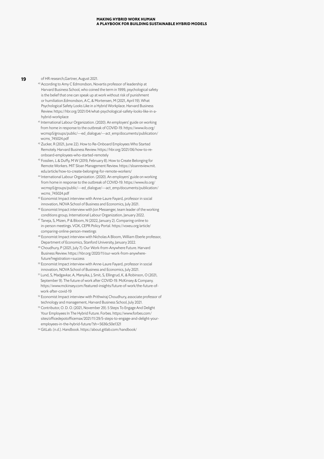**19** of HR research,Gartner, August 2021.

- <sup>40</sup> According to Amy C Edmondson, Novartis professor of leadership at Harvard Business School, who coined the term in 1999, psychological safety is the belief that one can speak up at work without risk of punishment or humiliation.Edmondson, A C, & Mortensen, M (2021, April 19). What Psychological Safety Looks Like in a Hybrid Workplace. Harvard Business Review. https://hbr.org/2021/04/what-psychological-safety-looks-like-in-ahybrid-workplace
- <sup>41</sup> International Labour Organization. (2020). An employers' guide on working from home in response to the outbreak of COVID-19. https://www.ilo.org/ wcmsp5/groups/public/---ed\_dialogue/---act\_emp/documents/publication/ wcms\_745024.pdf
- <sup>42</sup> Zucker, R (2021, June 22). How to Re-Onboard Employees Who Started Remotely. Harvard Business Review. https://hbr.org/2021/06/how-to-reonboard-employees-who-started-remotely
- <sup>43</sup> Fosslien, L & Duffy, M W (2019, February 8). How to Create Belonging for Remote Workers. MIT Sloan Management Review. https://sloanreview.mit. edu/article/how-to-create-belonging-for-remote-workers/
- <sup>44</sup> International Labour Organization. (2020). An employers' guide on working from home in response to the outbreak of COVID-19. https://www.ilo.org/ wcmsp5/groups/public/---ed\_dialogue/---act\_emp/documents/publication/ wcms\_745024.pdf
- 45 Economist Impact interview with Anne-Laure Fayard, professor in social innovation, NOVA School of Business and Economics, July 2021.
- <sup>46</sup> Economist Impact interview with Jon Messenger, team leader of the working conditions group, International Labour Organization, January 2022.
- <sup>47</sup> Taneja, S, Mizen, P & Bloom, N (2022, January 2). Comparing online to in-person meetings. VOX, CEPR Policy Portal. https://voxeu.org/article/ comparing-online-person-meetings
- <sup>48</sup> Economist Impact interview with Nicholas A Bloom, William Eberle professor, Department of Economics, Stanford University, January 2022.
- 49 Choudhury, P (2021, July 7). Our Work-from-Anywhere Future. Harvard Business Review. https://hbr.org/2020/11/our-work-from-anywherefuture?registration=success
- <sup>50</sup> Economist Impact interview with Anne-Laure Fayard, professor in social innovation, NOVA School of Business and Economics, July 2021.
- <sup>51</sup> Lund, S, Madgavkar, A, Manyika, J, Smit, S, Ellingrud, K, & Robinson, O (2021, September 9). The future of work after COVID-19. McKinsey & Company. https://www.mckinsey.com/featured-insights/future-of-work/the-future-ofwork-after-covid-19
- <sup>52</sup> Economist Impact interview with Prithwiraj Choudhury, associate professor of technology and management, Harvard Business School, July 2021.
- <sup>53</sup> Contributor, O. D. O. (2021, November 29). 5 Steps To Engage And Delight Your Employees In The Hybrid Future. Forbes. https://www.forbes.com/ sites/officedepotofficemax/2021/11/29/5-steps-to-engage-and-delight-youremployees-in-the-hybrid-future/?sh=5636c50e1321
- <sup>54</sup> GitLab. (n.d.). Handbook. https://about.gitlab.com/handbook/